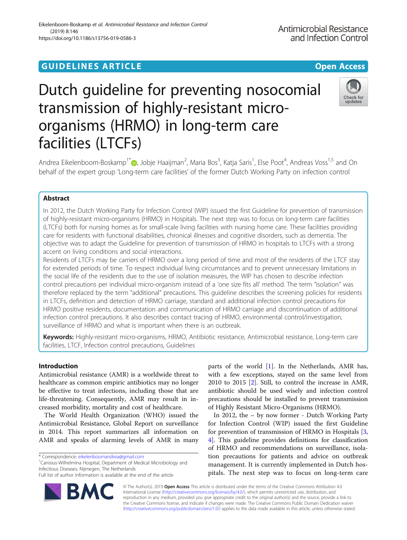# Eikelenboom-Boskamp et al. Antimicrobial Resistance and Infection Control (2019) 8:146 https://doi.org/10.1186/s13756-019-0586-3

# Antimicrobial Resistance and Infection Control

# Dutch guideline for preventing nosocomial transmission of highly-resistant microorganisms (HRMO) in long-term care facilities (LTCFs)



Andrea Eikelenboom-Boskamp<sup>1\*</sup>. Jobje Haaijman<sup>2</sup>[,](http://orcid.org/0000-0001-5956-7528) Maria Bos<sup>3</sup>, Katja Saris<sup>1</sup>, Else Poot<sup>4</sup>, Andreas Voss<sup>1,5</sup> and On behalf of the expert group 'Long-term care facilities' of the former Dutch Working Party on infection control

# Abstract

In 2012, the Dutch Working Party for Infection Control (WIP) issued the first Guideline for prevention of transmission of highly-resistant micro-organisms (HRMO) in Hospitals. The next step was to focus on long-term care facilities (LTCFs) both for nursing homes as for small-scale living facilities with nursing home care. These facilities providing care for residents with functional disabilities, chronical illnesses and cognitive disorders, such as dementia. The objective was to adapt the Guideline for prevention of transmission of HRMO in hospitals to LTCFs with a strong accent on living conditions and social interactions.

Residents of LTCFs may be carriers of HRMO over a long period of time and most of the residents of the LTCF stay for extended periods of time. To respect individual living circumstances and to prevent unnecessary limitations in the social life of the residents due to the use of isolation measures, the WIP has chosen to describe infection control precautions per individual micro-organism instead of a 'one size fits all' method. The term "isolation" was therefore replaced by the term "additional" precautions. This guideline describes the screening policies for residents in LTCFs, definition and detection of HRMO carriage, standard and additional infection control precautions for HRMO positive residents, documentation and communication of HRMO carriage and discontinuation of additional infection control precautions. It also describes contact tracing of HRMO, environmental control/investigation, surveillance of HRMO and what is important when there is an outbreak.

Keywords: Highly-resistant micro-organisms, HRMO, Antibiotic resistance, Antimicrobial resistance, Long-term care facilities, LTCF, Infection control precautions, Guidelines

# Introduction

Antimicrobial resistance (AMR) is a worldwide threat to healthcare as common empiric antibiotics may no longer be effective to treat infections, including those that are life-threatening. Consequently, AMR may result in increased morbidity, mortality and cost of healthcare.

The World Health Organization (WHO) issued the Antimicrobial Resistance, Global Report on surveillance in 2014. This report summarizes all information on AMR and speaks of alarming levels of AMR in many

ВM

Canisius-Wilhelmina Hospital, Department of Medical Microbiology and Infectious Diseases, Nijmegen, The Netherlands



In 2012, the – by now former - Dutch Working Party for Infection Control (WIP) issued the first Guideline for prevention of transmission of HRMO in Hospitals [\[3](#page-6-0), [4\]](#page-6-0). This guideline provides definitions for classification of HRMO and recommendations on surveillance, isolation precautions for patients and advice on outbreak management. It is currently implemented in Dutch hospitals. The next step was to focus on long-term care

© The Author(s). 2019 **Open Access** This article is distributed under the terms of the Creative Commons Attribution 4.0 International License [\(http://creativecommons.org/licenses/by/4.0/](http://creativecommons.org/licenses/by/4.0/)), which permits unrestricted use, distribution, and reproduction in any medium, provided you give appropriate credit to the original author(s) and the source, provide a link to the Creative Commons license, and indicate if changes were made. The Creative Commons Public Domain Dedication waiver [\(http://creativecommons.org/publicdomain/zero/1.0/](http://creativecommons.org/publicdomain/zero/1.0/)) applies to the data made available in this article, unless otherwise stated.

<sup>\*</sup> Correspondence: [eikelenboomandrea@gmail.com](mailto:eikelenboomandrea@gmail.com) <sup>1</sup>

Full list of author information is available at the end of the article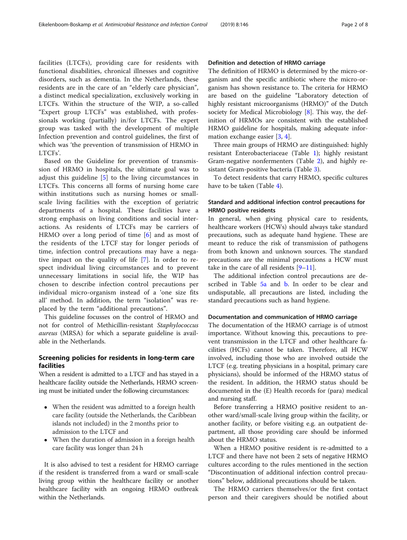facilities (LTCFs), providing care for residents with functional disabilities, chronical illnesses and cognitive disorders, such as dementia. In the Netherlands, these residents are in the care of an "elderly care physician", a distinct medical specialization, exclusively working in LTCFs. Within the structure of the WIP, a so-called "Expert group LTCFs" was established, with professionals working (partially) in/for LTCFs. The expert group was tasked with the development of multiple Infection prevention and control guidelines, the first of which was 'the prevention of transmission of HRMO in LTCFs'.

Based on the Guideline for prevention of transmission of HRMO in hospitals, the ultimate goal was to adjust this guideline [\[5](#page-6-0)] to the living circumstances in LTCFs. This concerns all forms of nursing home care within institutions such as nursing homes or smallscale living facilities with the exception of geriatric departments of a hospital. These facilities have a strong emphasis on living conditions and social interactions. As residents of LTCFs may be carriers of HRMO over a long period of time [[6\]](#page-6-0) and as most of the residents of the LTCF stay for longer periods of time, infection control precautions may have a negative impact on the quality of life [\[7](#page-6-0)]. In order to respect individual living circumstances and to prevent unnecessary limitations in social life, the WIP has chosen to describe infection control precautions per individual micro-organism instead of a 'one size fits all' method. In addition, the term "isolation" was replaced by the term "additional precautions".

This guideline focusses on the control of HRMO and not for control of Methicillin-resistant Staphylococcus aureus (MRSA) for which a separate guideline is available in the Netherlands.

# Screening policies for residents in long-term care facilities

When a resident is admitted to a LTCF and has stayed in a healthcare facility outside the Netherlands, HRMO screening must be initiated under the following circumstances:

- When the resident was admitted to a foreign health care facility (outside the Netherlands, the Caribbean islands not included) in the 2 months prior to admission to the LTCF and
- When the duration of admission in a foreign health care facility was longer than 24 h

It is also advised to test a resident for HRMO carriage if the resident is transferred from a ward or small-scale living group within the healthcare facility or another healthcare facility with an ongoing HRMO outbreak within the Netherlands.

# Definition and detection of HRMO carriage

The definition of HRMO is determined by the micro-organism and the specific antibiotic where the micro-organism has shown resistance to. The criteria for HRMO are based on the guideline "Laboratory detection of highly resistant microorganisms (HRMO)" of the Dutch society for Medical Microbiology  $[8]$  $[8]$ . This way, the definition of HRMOs are consistent with the established HRMO guideline for hospitals, making adequate information exchange easier [[3,](#page-6-0) [4\]](#page-6-0).

Three main groups of HRMO are distinguished: highly resistant Enterobacteriaceae (Table [1](#page-2-0)); highly resistant Gram-negative nonfermenters (Table [2](#page-2-0)), and highly resistant Gram-positive bacteria (Table [3](#page-3-0)).

To detect residents that carry HRMO, specific cultures have to be taken (Table [4](#page-3-0)).

# Standard and additional infection control precautions for HRMO positive residents

In general, when giving physical care to residents, healthcare workers (HCWs) should always take standard precautions, such as adequate hand hygiene. These are meant to reduce the risk of transmission of pathogens from both known and unknown sources. The standard precautions are the minimal precautions a HCW must take in the care of all residents  $[9-11]$  $[9-11]$  $[9-11]$  $[9-11]$ .

The additional infection control precautions are de-scribed in Table [5a](#page-4-0) and [b](#page-5-0). In order to be clear and undisputable, all precautions are listed, including the standard precautions such as hand hygiene.

# Documentation and communication of HRMO carriage

The documentation of the HRMO carriage is of utmost importance. Without knowing this, precautions to prevent transmission in the LTCF and other healthcare facilities (HCFs) cannot be taken. Therefore, all HCW involved, including those who are involved outside the LTCF (e.g. treating physicians in a hospital, primary care physicians), should be informed of the HRMO status of the resident. In addition, the HRMO status should be documented in the (E) Health records for (para) medical and nursing staff.

Before transferring a HRMO positive resident to another ward/small-scale living group within the facility, or another facility, or before visiting e.g. an outpatient department, all those providing care should be informed about the HRMO status.

When a HRMO positive resident is re-admitted to a LTCF and there have not been 2 sets of negative HRMO cultures according to the rules mentioned in the section "Discontinuation of additional infection control precautions" below, additional precautions should be taken.

The HRMO carriers themselves/or the first contact person and their caregivers should be notified about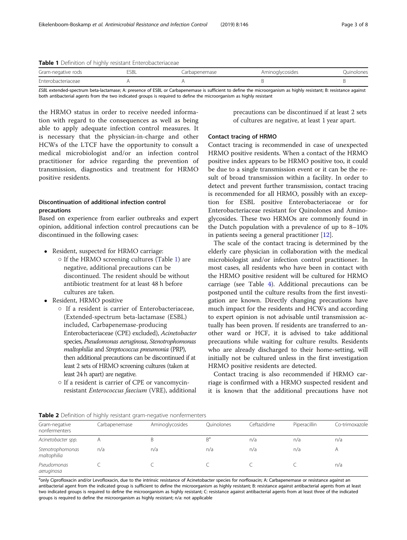<span id="page-2-0"></span>

|  |  | Table 1 Definition of highly resistant Enterobacteriaceae |
|--|--|-----------------------------------------------------------|
|  |  |                                                           |

| Gram-negative rods | 5SBL | Carbapenemase | Aminoglycosides | Ouinolones |
|--------------------|------|---------------|-----------------|------------|
| Enterobacteriaceae |      |               |                 |            |

ESBL extended-spectrum beta-lactamase; A: presence of ESBL or Carbapenemase is sufficient to define the microorganism as highly resistant; B: resistance against both antibacterial agents from the two indicated groups is required to define the microorganism as highly resistant

the HRMO status in order to receive needed information with regard to the consequences as well as being able to apply adequate infection control measures. It is necessary that the physician-in-charge and other HCWs of the LTCF have the opportunity to consult a medical microbiologist and/or an infection control practitioner for advice regarding the prevention of transmission, diagnostics and treatment for HRMO positive residents.

# Discontinuation of additional infection control precautions

Based on experience from earlier outbreaks and expert opinion, additional infection control precautions can be discontinued in the following cases:

- Resident, suspected for HRMO carriage:
	- $\circ$  If the HRMO screening cultures (Table 1) are negative, additional precautions can be discontinued. The resident should be without antibiotic treatment for at least 48 h before cultures are taken.
- Resident, HRMO positive
	- If a resident is carrier of Enterobacteriaceae, (Extended-spectrum beta-lactamase (ESBL) included, Carbapenemase-producing Enterobacteriaceae (CPE) excluded), Acinetobacter species, Pseudomonas aeruginosa, Stenotrophomonas maltophilia and Streptococcus pneumonia (PRP), then additional precautions can be discontinued if at least 2 sets of HRMO screening cultures (taken at least 24 h apart) are negative.
	- If a resident is carrier of CPE or vancomycinresistant Enterococcus faecium (VRE), additional

precautions can be discontinued if at least 2 sets of cultures are negative, at least 1 year apart.

## Contact tracing of HRMO

Contact tracing is recommended in case of unexpected HRMO positive residents. When a contact of the HRMO positive index appears to be HRMO positive too, it could be due to a single transmission event or it can be the result of broad transmission within a facility. In order to detect and prevent further transmission, contact tracing is recommended for all HRMO, possibly with an exception for ESBL positive Enterobacteriaceae or for Enterobacteriaceae resistant for Quinolones and Aminoglycosides. These two HRMOs are commonly found in the Dutch population with a prevalence of up to 8–10% in patients seeing a general practitioner [[12](#page-6-0)].

The scale of the contact tracing is determined by the elderly care physician in collaboration with the medical microbiologist and/or infection control practitioner. In most cases, all residents who have been in contact with the HRMO positive resident will be cultured for HRMO carriage (see Table [4](#page-3-0)). Additional precautions can be postponed until the culture results from the first investigation are known. Directly changing precautions have much impact for the residents and HCWs and according to expert opinion is not advisable until transmission actually has been proven. If residents are transferred to another ward or HCF, it is advised to take additional precautions while waiting for culture results. Residents who are already discharged to their home-setting, will initially not be cultured unless in the first investigation HRMO positive residents are detected.

Contact tracing is also recommended if HRMO carriage is confirmed with a HRMO suspected resident and it is known that the additional precautions have not

Table 2 Definition of highly resistant gram-negative nonfermenters

|                                 |               | <b>TWRIS &amp;</b> DUTITION FOR THIS TUBE IS CONSULTED IN THE SOUTH OF THE THEFT IS THE THEFT. |            |             |                     |                |
|---------------------------------|---------------|------------------------------------------------------------------------------------------------|------------|-------------|---------------------|----------------|
| Gram-negative<br>nonfermenters  | Carbapenemase | Aminoglycosides                                                                                | Ouinolones | Ceftazidime | <b>Piperacillin</b> | Co-trimoxazole |
| Acinetobacter spp.              |               | B                                                                                              | $B^a$      | n/a         | n/a                 | n/a            |
| Stenotrophomonas<br>maltophilia | n/a           | n/a                                                                                            | n/a        | n/a         | n/a                 |                |
| Pseudomonas<br>aeruginosa       |               |                                                                                                |            |             |                     | n/a            |

a<br><sup>a</sup>only Ciprofloxacin and/or Levofloxacin, due to the intrinsic resistance of Acinetobacter species for norfloxacin; A: Carbapenemase or resistance against an antibacterial agent from the indicated group is sufficient to define the microorganism as highly resistant; B: resistance against antibacterial agents from at least two indicated groups is required to define the microorganism as highly resistant; C: resistance against antibacterial agents from at least three of the indicated groups is required to define the microorganism as highly resistant; n/a: not applicable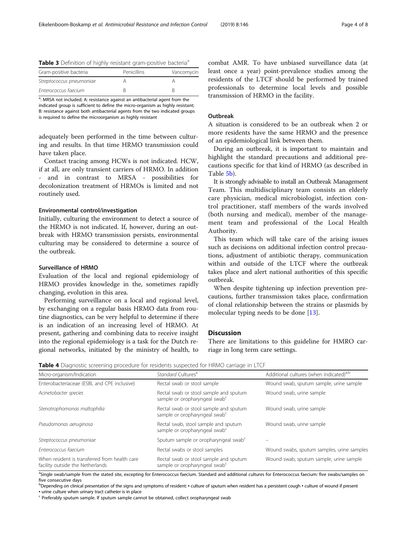<span id="page-3-0"></span>

|  |  | Table 3 Definition of highly resistant gram-positive bacteria <sup>a</sup> |  |
|--|--|----------------------------------------------------------------------------|--|
|  |  |                                                                            |  |

| Gram-positive bacteria   | Penicillins | Vancomycin |
|--------------------------|-------------|------------|
| Streptococcus pneumoniae |             |            |
| Enterococcus faecium     |             |            |

<sup>a</sup>: MRSA not included; A: resistance against an antibacterial agent from the indicated group is sufficient to define the micro-organism as highly resistant; B: resistance against both antibacterial agents from the two indicated groups is required to define the microorganism as highly resistant

adequately been performed in the time between culturing and results. In that time HRMO transmission could have taken place.

Contact tracing among HCWs is not indicated. HCW, if at all, are only transient carriers of HRMO. In addition and in contrast to MRSA - possibilities for decolonization treatment of HRMOs is limited and not routinely used.

## Environmental control/investigation

Initially, culturing the environment to detect a source of the HRMO is not indicated. If, however, during an outbreak with HRMO transmission persists, environmental culturing may be considered to determine a source of the outbreak.

## Surveillance of HRMO

Evaluation of the local and regional epidemiology of HRMO provides knowledge in the, sometimes rapidly changing, evolution in this area.

Performing surveillance on a local and regional level, by exchanging on a regular basis HRMO data from routine diagnostics, can be very helpful to determine if there is an indication of an increasing level of HRMO. At present, gathering and combining data to receive insight into the regional epidemiology is a task for the Dutch regional networks, initiated by the ministry of health, to

combat AMR. To have unbiased surveillance data (at least once a year) point-prevalence studies among the residents of the LTCF should be performed by trained professionals to determine local levels and possible transmission of HRMO in the facility.

### **Outbreak**

A situation is considered to be an outbreak when 2 or more residents have the same HRMO and the presence of an epidemiological link between them.

During an outbreak, it is important to maintain and highlight the standard precautions and additional precautions specific for that kind of HRMO (as described in Table [5b\)](#page-5-0).

It is strongly advisable to install an Outbreak Management Team. This multidisciplinary team consists an elderly care physician, medical microbiologist, infection control practitioner, staff members of the wards involved (both nursing and medical), member of the management team and professional of the Local Health Authority.

This team which will take care of the arising issues such as decisions on additional infection control precautions, adjustment of antibiotic therapy, communication within and outside of the LTCF where the outbreak takes place and alert national authorities of this specific outbreak.

When despite tightening up infection prevention precautions, further transmission takes place, confirmation of clonal relationship between the strains or plasmids by molecular typing needs to be done [[13\]](#page-7-0).

## Discussion

There are limitations to this guideline for HMRO carriage in long term care settings.

|  |  |  | <b>Table 4</b> Diagnostic screening procedure for residents suspected for HRMO carriage in LTCF |
|--|--|--|-------------------------------------------------------------------------------------------------|
|  |  |  |                                                                                                 |

| Micro-organism/Indication                                                         | Standard Cultures <sup>a</sup>                                                      | Additional cultures (when indicated) <sup>a,b</sup> |
|-----------------------------------------------------------------------------------|-------------------------------------------------------------------------------------|-----------------------------------------------------|
| Enterobacteriaceae (ESBL and CPE inclusive)                                       | Rectal swab or stool sample                                                         | Wound swab, sputum sample, urine sample             |
| Acinetobacter species                                                             | Rectal swab or stool sample and sputum<br>sample or oropharyngeal swab <sup>c</sup> | Wound swab, urine sample                            |
| Stenotrophomonas maltophilia                                                      | Rectal swab or stool sample and sputum<br>sample or oropharyngeal swab <sup>c</sup> | Wound swab, urine sample                            |
| Pseudomonas aeruginosa                                                            | Rectal swab, stool sample and sputum<br>sample or oropharyngeal swab <sup>c</sup>   | Wound swab, urine sample                            |
| Streptococcus pneumoniae                                                          | Sputum sample or oropharyngeal swab <sup>c</sup>                                    |                                                     |
| Enterococcus faecium                                                              | Rectal swabs or stool samples                                                       | Wound swabs, sputum samples, urine samples          |
| When resident is transferred from health care<br>facility outside the Netherlands | Rectal swab or stool sample and sputum<br>sample or oropharyngeal swab <sup>c</sup> | Wound swab, sputum sample, urine sample             |

<sup>a</sup>Single swab/sample from the stated site, excepting for Enterococcus faecium. Standard and additional cultures for Enterococcus faecium: five swabs/samples on five consecutive days

bDepending on clinical presentation of the signs and symptoms of resident: • culture of sputum when resident has a persistent cough • culture of wound if present

▪ urine culture when urinary tract catheter is in place

 $\epsilon$  Preferably sputum sample. If sputum sample cannot be obtained, collect oropharyngeal swab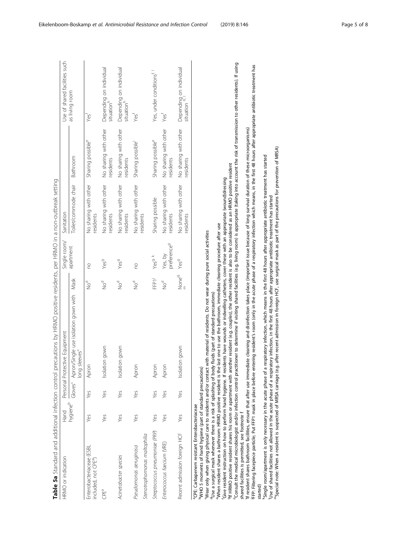| l                               |
|---------------------------------|
|                                 |
|                                 |
| ׇ֘֝֕֡                           |
|                                 |
|                                 |
| l                               |
| ļ<br>į<br>ł<br>i<br>i<br>١<br>١ |
| ļ<br>ׇ֚֘                        |
| ֡֡֡<br>ī                        |
|                                 |
|                                 |
|                                 |
| Ē<br>Ï<br>I                     |

<span id="page-4-0"></span>

|                                                                                                                                                                                                                                                                                                                                                                                                                                  |      |     | Table 5a Standard and additional infection control precautions by HRMO positive residents, per HRMO in a non-outbreak setting                                                                                                                                                                                                                                                                                                                                                                                                                                                                                                                                                                                                                                                                                                                                                                                                                                     |                                 |                                    |                                    |                                    |                                                      |
|----------------------------------------------------------------------------------------------------------------------------------------------------------------------------------------------------------------------------------------------------------------------------------------------------------------------------------------------------------------------------------------------------------------------------------|------|-----|-------------------------------------------------------------------------------------------------------------------------------------------------------------------------------------------------------------------------------------------------------------------------------------------------------------------------------------------------------------------------------------------------------------------------------------------------------------------------------------------------------------------------------------------------------------------------------------------------------------------------------------------------------------------------------------------------------------------------------------------------------------------------------------------------------------------------------------------------------------------------------------------------------------------------------------------------------------------|---------------------------------|------------------------------------|------------------------------------|------------------------------------|------------------------------------------------------|
| HRMO or indication                                                                                                                                                                                                                                                                                                                                                                                                               | Hand |     | Personal Protective Equipment                                                                                                                                                                                                                                                                                                                                                                                                                                                                                                                                                                                                                                                                                                                                                                                                                                                                                                                                     |                                 | Single room/                       | Sanitation                         |                                    | Use of shared facilities such                        |
|                                                                                                                                                                                                                                                                                                                                                                                                                                  |      |     | hygiene <sup>b</sup> Gloves <sup>c</sup> Apron/Single use isolation gown with<br>long sleeves <sup>c</sup>                                                                                                                                                                                                                                                                                                                                                                                                                                                                                                                                                                                                                                                                                                                                                                                                                                                        | Mask                            | apartment                          | Toilet/commode chair               | Bathroom                           | as living room                                       |
| Enterobacteriaceae (ESBL<br>included, not CPE",                                                                                                                                                                                                                                                                                                                                                                                  | Yes  | Yes | Apron                                                                                                                                                                                                                                                                                                                                                                                                                                                                                                                                                                                                                                                                                                                                                                                                                                                                                                                                                             | po<br>No                        | <u>c</u>                           | No sharing with other<br>residents | Sharing possible <sup>e</sup>      | Yest                                                 |
| CPEª                                                                                                                                                                                                                                                                                                                                                                                                                             | Yes  | Yes | gown<br>Isolation                                                                                                                                                                                                                                                                                                                                                                                                                                                                                                                                                                                                                                                                                                                                                                                                                                                                                                                                                 | po<br>No                        | Yes <sup>g</sup>                   | No sharing with other<br>residents | No sharing with other<br>residents | Depending on individual<br>situation <sup>h</sup>    |
| Acinetobacter species                                                                                                                                                                                                                                                                                                                                                                                                            | Yes  | Yes | gown<br>Isolation                                                                                                                                                                                                                                                                                                                                                                                                                                                                                                                                                                                                                                                                                                                                                                                                                                                                                                                                                 | po<br>No                        | Yes <sup>g</sup>                   | No sharing with other<br>residents | No sharing with other<br>residents | Depending on individual<br>situation <sup>h</sup>    |
| Stenotrophomonas maltophilia<br>Pseudomonas aeruginosa                                                                                                                                                                                                                                                                                                                                                                           | Yes  | Yes | Apron                                                                                                                                                                                                                                                                                                                                                                                                                                                                                                                                                                                                                                                                                                                                                                                                                                                                                                                                                             | $\sum_{i=1}^{5}$                | <b>DO</b>                          | No sharing with other<br>residents | Sharing possible                   | Yest                                                 |
| Streptococcus pneumoniae (PRP)                                                                                                                                                                                                                                                                                                                                                                                                   | Yes  | Yes | Apron                                                                                                                                                                                                                                                                                                                                                                                                                                                                                                                                                                                                                                                                                                                                                                                                                                                                                                                                                             | FFP1 <sup>1</sup>               | Yes <sup>g, k</sup>                | Sharing possible                   | Sharing possible <sup>e</sup>      | Yes, under conditions <sup>f, 1</sup>                |
| Enterococcus faecium (VRE)                                                                                                                                                                                                                                                                                                                                                                                                       | Yes  | Yes | Apron                                                                                                                                                                                                                                                                                                                                                                                                                                                                                                                                                                                                                                                                                                                                                                                                                                                                                                                                                             | $\sum_{i=1}^{6}$                | preference <sup>9</sup><br>Yes, by | No sharing with other<br>residents | No sharing with other<br>residents | Yesf                                                 |
| Recent admission foreign HCF                                                                                                                                                                                                                                                                                                                                                                                                     | Yes  | Yes | gown<br>Isolation                                                                                                                                                                                                                                                                                                                                                                                                                                                                                                                                                                                                                                                                                                                                                                                                                                                                                                                                                 | None <sup>d</sup><br>$\epsilon$ | Yes <sup>g</sup>                   | No sharing with other<br>residents | No sharing with other<br>residents | Depending on individual<br>situation <sup>h, I</sup> |
| "Wear only when giving physical care to residents and/or contact with<br>"When resident shares a bathroom: HRMO positive resident is the last<br><sup>h</sup> Consult the medical microbiologist and/or infection control practition<br><sup>b</sup> WHO 5 moments of hand hygiene (part of standard precautions)<br><sup>a</sup> CPE: Carbapenem resistant Enterobacteriaceae<br>shared facilities is permitted, see footnote 1 |      |     | er to determine if visiting shared facilities (e.g. Iiving room) is appropriate (taking into account the risk of transmission to other residents). If using<br>If resident shares bathroom facilities, ensure that after use immediate cleaning and disinfection takes place (important issue because of long sunvival duration of these microorganisms)<br><sup>9</sup> If HRMO positive resident shares his room or apartment with another resident (e.g. couples), the other resident is also to be considered as an HRMO positive resident<br>'Give resident instruction on how to perform hand hygiene. If residents have wounds or indwelling catheters, cover these with an appropriate (wound)dressing<br>one to use the bathroom, immediate cleaning procedure after use<br>material of residents. Do not wear during pure social activities<br>dose a surgical mask whenever there is a risk of splashing of body fluids (part of standard precautions) |                                 |                                    |                                    |                                    |                                                      |
|                                                                                                                                                                                                                                                                                                                                                                                                                                  |      |     |                                                                                                                                                                                                                                                                                                                                                                                                                                                                                                                                                                                                                                                                                                                                                                                                                                                                                                                                                                   |                                 |                                    |                                    |                                    |                                                      |

kSingle room/apartment is only necessary in the acute phase of a respiratory infection, which means in the first 48 hours after appropriate antibiotic treatment has started

lUse of shared facilities not allowed in the acute phase of a respiratory infection, in the first 48 hours after appropriate antibiotic treatment has started

<sup>k</sup>Single room/apartment is only necessary in the acute phase of a respiratory infection, which means in the first 48 hours after appropriate antibiotic treatment has started<br>"Use of shared facilities not allowed in the ac

mSpecial note: When a resident is suspected of MRSA carriage (e.g. after recent admission in foreign HCF, use surgical mask as part of the precautions for prevention of MRSA)

started)

jFFP: Filtering facepiece particle; Put FFP1 mask in place before entering resident's room (only in the acute phase of a respiratory infection which means, in the first 48 hours after appropriate antibiotic treatment has

FFP: Filtering facepiece particle; Put FFP1 mask in place before entering resident's room (only in the acte phase of a respiratory infection which means, in the first 48 hours after appropriate antibiotic treatment has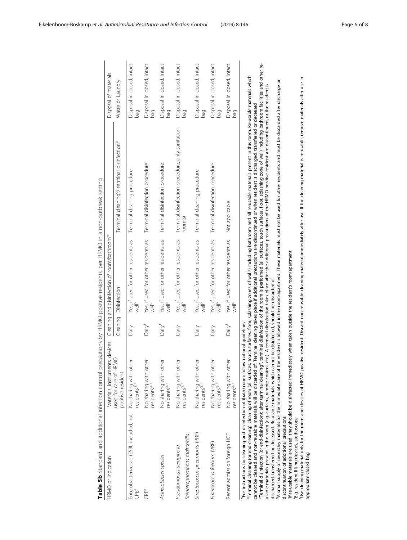<span id="page-5-0"></span>

| Table 5b Standard and additional infection control pr                                                                                                                                                                                                                                                                                                                                                                                          |                                                         |                    | recautions by HRMO positive residents, per HRMO in a non-outbreak setting |                                                                                                                                                                                                                                                                                                                                                                                                                                                                                                                                                                                                                                                                                                                                                                                                                                                                                                                                                                                                                                                                                                                                |                                   |
|------------------------------------------------------------------------------------------------------------------------------------------------------------------------------------------------------------------------------------------------------------------------------------------------------------------------------------------------------------------------------------------------------------------------------------------------|---------------------------------------------------------|--------------------|---------------------------------------------------------------------------|--------------------------------------------------------------------------------------------------------------------------------------------------------------------------------------------------------------------------------------------------------------------------------------------------------------------------------------------------------------------------------------------------------------------------------------------------------------------------------------------------------------------------------------------------------------------------------------------------------------------------------------------------------------------------------------------------------------------------------------------------------------------------------------------------------------------------------------------------------------------------------------------------------------------------------------------------------------------------------------------------------------------------------------------------------------------------------------------------------------------------------|-----------------------------------|
| HRMO or indication                                                                                                                                                                                                                                                                                                                                                                                                                             | Materials, instruments, devices                         |                    | Cleaning and disinfection of room/bathroom <sup>n</sup>                   |                                                                                                                                                                                                                                                                                                                                                                                                                                                                                                                                                                                                                                                                                                                                                                                                                                                                                                                                                                                                                                                                                                                                | Disposal of materials             |
|                                                                                                                                                                                                                                                                                                                                                                                                                                                | used for care of HRMO<br>positive resident              |                    | Cleaning Disinfection                                                     | Terminal cleaning <sup>o</sup> / terminal disinfection <sup>p</sup>                                                                                                                                                                                                                                                                                                                                                                                                                                                                                                                                                                                                                                                                                                                                                                                                                                                                                                                                                                                                                                                            | Waste or Laundry                  |
| Enterobacteriaceae (ESBL included, not<br>CPEª                                                                                                                                                                                                                                                                                                                                                                                                 | ìer<br>No sharing with oth<br>residents <sup>q,</sup>   | Daily              | Yes, if used for other residents as<br>well <sup>s</sup>                  | Terminal cleaning procedure                                                                                                                                                                                                                                                                                                                                                                                                                                                                                                                                                                                                                                                                                                                                                                                                                                                                                                                                                                                                                                                                                                    | Disposal in closed, intact<br>pag |
| CPEª                                                                                                                                                                                                                                                                                                                                                                                                                                           | ð<br>No sharing with oth<br>residents <sup>q,</sup>     | Daily <sup>t</sup> | Yes, if used for other residents as<br>İ                                  | Terminal disinfection procedure                                                                                                                                                                                                                                                                                                                                                                                                                                                                                                                                                                                                                                                                                                                                                                                                                                                                                                                                                                                                                                                                                                | Disposal in closed, intact<br>bag |
| Acinetobacter species                                                                                                                                                                                                                                                                                                                                                                                                                          | per<br>No sharing with oth<br>residents <sup>q, r</sup> | Daily <sup>t</sup> | Yes, if used for other residents as<br>well <sup>s</sup>                  | Terminal disinfection procedure                                                                                                                                                                                                                                                                                                                                                                                                                                                                                                                                                                                                                                                                                                                                                                                                                                                                                                                                                                                                                                                                                                | Disposal in closed, intact<br>pag |
| Stenotrophomonas maltophilia<br>Pseudomonas aeruginosa                                                                                                                                                                                                                                                                                                                                                                                         | No sharing with other<br>residents <sup>q.</sup>        | Daily              | Yes, if used for other residents as<br>well <sup>s</sup>                  | Terminal disinfection procedure, only sanitation<br>room(s)                                                                                                                                                                                                                                                                                                                                                                                                                                                                                                                                                                                                                                                                                                                                                                                                                                                                                                                                                                                                                                                                    | Disposal in closed, intact<br>pag |
| Streptococcus pneumonia (PRP)                                                                                                                                                                                                                                                                                                                                                                                                                  | No sharing with other<br>residents <sup>q.</sup>        | Daily              | Yes, if used for other residents as<br>well <sup>s</sup>                  | Terminal cleaning procedure                                                                                                                                                                                                                                                                                                                                                                                                                                                                                                                                                                                                                                                                                                                                                                                                                                                                                                                                                                                                                                                                                                    | Disposal in closed, intact<br>pag |
| Enterococcus faecium (VRE)                                                                                                                                                                                                                                                                                                                                                                                                                     | No sharing with other<br>residents <sup>q, r</sup>      | Daily              | Yes, if used for other residents as<br>well <sup>s</sup>                  | Terminal disinfection procedure                                                                                                                                                                                                                                                                                                                                                                                                                                                                                                                                                                                                                                                                                                                                                                                                                                                                                                                                                                                                                                                                                                | Disposal in closed, intact<br>Dag |
| Recent admission foreign HCF                                                                                                                                                                                                                                                                                                                                                                                                                   | No sharing with other<br>residents <sup>q,</sup>        | Daily <sup>t</sup> | Yes, if used for other residents as<br>well <sup>s</sup>                  | Not applicable                                                                                                                                                                                                                                                                                                                                                                                                                                                                                                                                                                                                                                                                                                                                                                                                                                                                                                                                                                                                                                                                                                                 | Disposal in closed, intact<br>bag |
| 'If re-usable materials are used, they should be disinfected immediately when taken outside the resident's room/apartment<br>discharged, transferred or deceased. Re-usable materials which cannot be disinfected, should be discarded of<br><sup>n</sup> For instructions for cleaning and disinfection of (bath) room: follow national guidelines<br>discontinuation of additional precautions<br>E.g. resident lifting devices, stethoscope |                                                         |                    |                                                                           | Preminal disinfection (or end-disinfection): after terminal cleaning", terminal disinfection of the room is performed (all surfaces, touch surfaces, floor, splashing zone of wall) including bathroom facilities and other re<br><sup>o</sup> Terminal cleaning (or end-cleaning): cleaning of room (all surfaces, touch surfaces, floor, splashing zones of walls) including bathroom and all re-usable materials present in this room. Re-usable materials which<br><sup>9</sup> A small supply of necessary materials for the immediate care of the resident is allowed in the room/apartment. These materials must not be used for other residents and must be discarded after discharge or<br>usable materials present in the room (e.g. curtains, remote control, etc.). A terminal disinfection takes place after the additional precautions of the HRMO positive resident are discontinued, or the resident is<br>cannot be cleaned and non-reusable materials will be discarded of. Terminal cleaning takes place if additional precautions are discontinued or when resident is discharged, transferred or deceased |                                   |
|                                                                                                                                                                                                                                                                                                                                                                                                                                                |                                                         |                    |                                                                           |                                                                                                                                                                                                                                                                                                                                                                                                                                                                                                                                                                                                                                                                                                                                                                                                                                                                                                                                                                                                                                                                                                                                |                                   |

°E.g. resident lifting devices, stethoscope<br>"Use cleaning material only for the room and devices of HRMO positive resident. Discard non-reusable imaterial immediately after use. If the cleaning material is re-usable, remov tUse cleaning material only for the room and devices of HRMO positive resident. Discard non-reusable cleaning material immediately after use. If the cleaning material is re-usable, remove materials after use in appropriate closed bag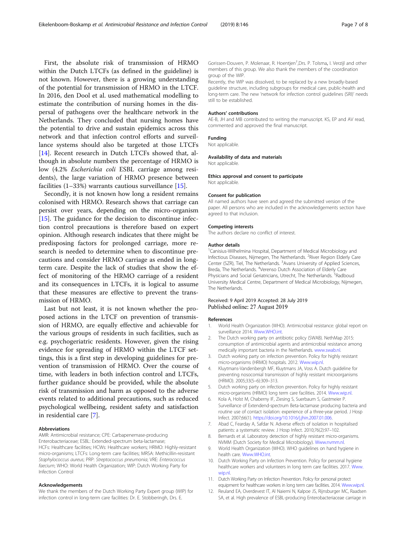<span id="page-6-0"></span>First, the absolute risk of transmission of HRMO within the Dutch LTCFs (as defined in the guideline) is not known. However, there is a growing understanding of the potential for transmission of HRMO in the LTCF. In 2016, den Dool et al. used mathematical modelling to estimate the contribution of nursing homes in the dispersal of pathogens over the healthcare network in the Netherlands. They concluded that nursing homes have the potential to drive and sustain epidemics across this network and that infection control efforts and surveillance systems should also be targeted at those LTCFs [[14\]](#page-7-0). Recent research in Dutch LTCFs showed that, although in absolute numbers the percentage of HRMO is low (4.2% Escherichia coli ESBL carriage among residents), the large variation of HRMO presence between facilities (1–33%) warrants cautious surveillance [\[15\]](#page-7-0).

Secondly, it is not known how long a resident remains colonised with HRMO. Research shows that carriage can persist over years, depending on the micro-organism [[15\]](#page-7-0). The guidance for the decision to discontinue infection control precautions is therefore based on expert opinion. Although research indicates that there might be predisposing factors for prolonged carriage, more research is needed to determine when to discontinue precautions and consider HRMO carriage as ended in longterm care. Despite the lack of studies that show the effect of monitoring of the HRMO carriage of a resident and its consequences in LTCFs, it is logical to assume that these measures are effective to prevent the transmission of HRMO.

Last but not least, it is not known whether the proposed actions in the LTCF on prevention of transmission of HRMO, are equally effective and achievable for the various groups of residents in such facilities, such as e.g. psychogeriatric residents. However, given the rising evidence for spreading of HRMO within the LTCF settings, this is a first step in developing guidelines for prevention of transmission of HRMO. Over the course of time, with leaders in both infection control and LTCFs, further guidance should be provided, while the absolute risk of transmission and harm as opposed to the adverse events related to additional precautions, such as reduced psychological wellbeing, resident safety and satisfaction in residential care [7].

#### Abbreviations

AMR: Antimicrobial resistance; CPE: Carbapenemase-producing Enterobacteriaceae; ESBL: Extended-spectrum beta-lactamase; HCFs: Healthcare facilities; HCWs: Healthcare workers; HRMO: Highly-resistant micro-organisms; LTCFs: Long-term care facilities; MRSA: Methicillin-resistant Staphylococcus aureus; PRP: Streptococcus pneumonia; VRE: Enterococcus faecium; WHO: World Health Organization; WIP: Dutch Working Party for Infection Control

#### Acknowledgements

We thank the members of the Dutch Working Party Expert group (WIP) for infection control in long-term care facilities: Dr. E. Stobberingh, Drs. E.

Gorissen-Douven, P. Molenaar, R. Hoentjen<sup>†</sup>, Drs. P. Tolsma, I. Verzijl and other members of this group. We also thank the members of the coordination group of the WIP.

Recently, the WIP was dissolved, to be replaced by a new broadly-based guideline structure, including subgroups for medical care, public-health and long-term care. The new 'network for infection control guidelines (SRI)' needs still to be established.

#### Authors' contributions

AE-B, JH and MB contributed to writing the manuscript. KS, EP and AV read, commented and approved the final manuscript.

#### Funding

Not applicable.

## Availability of data and materials

Not applicable.

#### Ethics approval and consent to participate

Not applicable.

#### Consent for publication

All named authors have seen and agreed the submitted version of the paper. All persons who are included in the acknowledgements section have agreed to that inclusion.

#### Competing interests

The authors declare no conflict of interest.

#### Author details

<sup>1</sup> Canisius-Wilhelmina Hospital, Department of Medical Microbiology and Infectious Diseases, Nijmegen, The Netherlands. <sup>2</sup>River Region Elderly Care Center (SZR), Tiel, The Netherlands. <sup>3</sup>Avans University of Applied Sciences, Breda, The Netherlands. <sup>4</sup>Verenso Dutch Association of Elderly Care Physicians and Social Geriatricians, Utrecht, The Netherlands. <sup>S</sup>Radboud University Medical Centre, Department of Medical Microbiology, Nijmegen, The Netherlands.

## Received: 9 April 2019 Accepted: 28 July 2019 Published online: 27 August 2019

#### References

- 1. World Health Organization (WHO). Antimicrobial resistance: global report on surveillance 2014. [Www.WHO.int.](http://www.who.int)
- 2. The Dutch working party on antibiotic policy (SWAB). NethMap 2015: consumption of antimicrobial agents and antimicrobial resistance among medically important bacteria in the Netherlands. [www.swab.nl](http://www.swab.nl).
- 3. Dutch working party on infection prevention. Policy for highly resistant micro-organisms (HRMO) hospitals. 2012. [Www.wip.nl.](http://www.wip.nl/)
- 4. Kluytmans-Vandenbergh MF, Kluytmans JA, Voss A. Dutch guideline for preventing nosocomial transmission of highly resistant microorganisms (HRMO). 2005;33(5–6):309–313.
- 5. Dutch working party on infection prevention. Policy for highly resistant micro-organisms (HRMO) long term care facilities. 2014. [Www.wip.nl.](http://www.wip.nl/)
- Kola A, Holst M, Chaberny IF, Ziesing S, Suerbaum S, Gastmeier P. Surveillance of Extendend-spectrum Beta-lactamase producing bacteria and routine use of contact isolation: experience of a three-year period. J Hosp Infect. 2007;66(1). [https://doi.org/10.1016/j.jhin.2007.01.006.](https://doi.org/10.1016/j.jhin.2007.01.006)
- 7. Abad C, Fearday A, Safdar N. Adverse effects of isolation in hospitalised patients: a systematic review. J Hosp Infect. 2010;76(2):97–102.
- 8. Bernards et al. Laboratory detection of highly resistant micro-organisms. NVMM (Dutch Society for Medical Microbiology). [Www.nvmm.nl](http://www.nvmm.nl).
- 9. World Health Organization (WHO). WHO guidelines on hand hygiene in health care. [Www.WHO.int](http://www.who.int).
- 10. Dutch Working Party on Infection Prevention. Policy for personal hygiene healthcare workers and volunteers in long term care facilities. 2017. [Www.](http://www.wip.nl/) [wip.nl.](http://www.wip.nl/)
- 11. Dutch Working Party on Infection Prevention. Policy for personal protect equipment for healthcare workers in long term care facilities. 2014. [Www.wip.nl](http://www.wip.nl/).
- 12. Reuland EA, Overdevest IT, Al Naiemi N, Kalpoe JS, Rijnsburger MC, Raadsen SA, et al. High prevalence of ESBL-producing Enterobacteriaceae carriage in